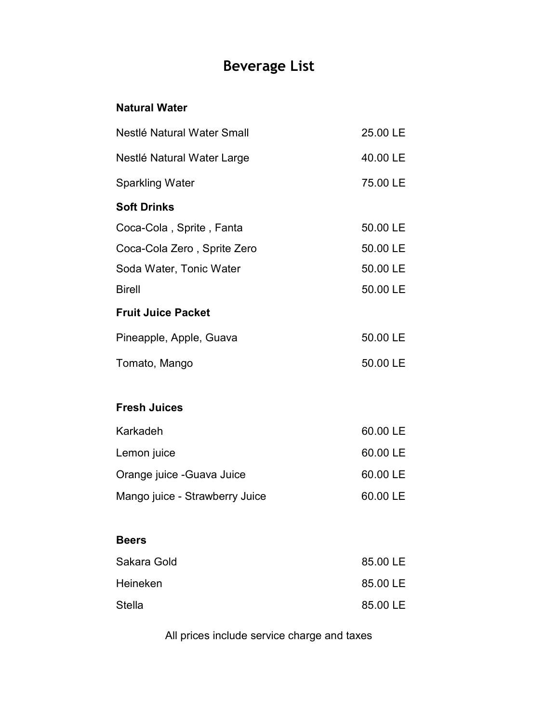# Beverage List

#### Natural Water

| Nestlé Natural Water Small     | 25.00 LE |
|--------------------------------|----------|
| Nestlé Natural Water Large     | 40.00 LE |
| <b>Sparkling Water</b>         | 75.00 LE |
| <b>Soft Drinks</b>             |          |
| Coca-Cola, Sprite, Fanta       | 50.00 LE |
| Coca-Cola Zero, Sprite Zero    | 50.00 LE |
| Soda Water, Tonic Water        | 50.00 LE |
| <b>Birell</b>                  | 50.00 LE |
| <b>Fruit Juice Packet</b>      |          |
| Pineapple, Apple, Guava        | 50.00 LE |
| Tomato, Mango                  | 50.00 LE |
| <b>Fresh Juices</b>            |          |
| Karkadeh                       | 60.00 LE |
| Lemon juice                    | 60.00 LE |
| Orange juice - Guava Juice     | 60.00 LE |
| Mango juice - Strawberry Juice | 60.00 LE |
| <b>Beers</b>                   |          |
| Sakara Gold                    | 85.00 LE |
| Heineken                       | 85.00 LE |
| <b>Stella</b>                  | 85.00 LE |

All prices include service charge and taxes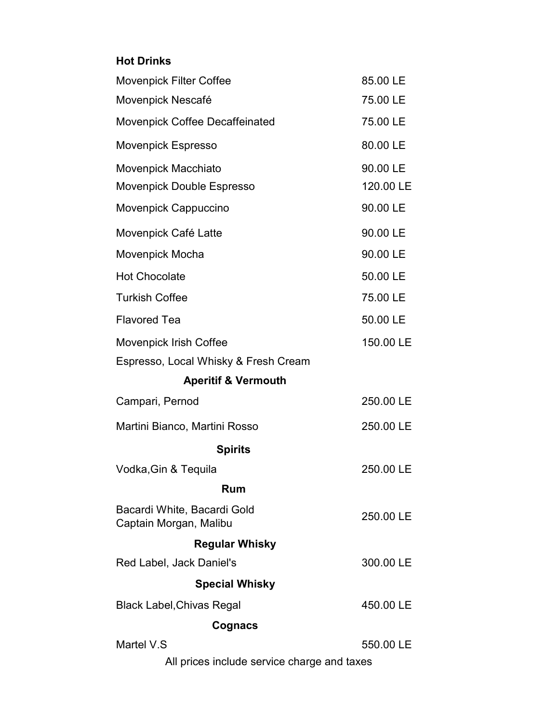#### Hot Drinks

| <b>Movenpick Filter Coffee</b>                            | 85.00 LE  |
|-----------------------------------------------------------|-----------|
| Movenpick Nescafé                                         | 75.00 LE  |
| Movenpick Coffee Decaffeinated                            | 75.00 LE  |
| <b>Movenpick Espresso</b>                                 | 80.00 LE  |
| Movenpick Macchiato                                       | 90.00 LE  |
| <b>Movenpick Double Espresso</b>                          | 120.00 LE |
| Movenpick Cappuccino                                      | 90.00 LE  |
| Movenpick Café Latte                                      | 90.00 LE  |
| Movenpick Mocha                                           | 90.00 LE  |
| <b>Hot Chocolate</b>                                      | 50.00 LE  |
| <b>Turkish Coffee</b>                                     | 75.00 LE  |
| <b>Flavored Tea</b>                                       | 50.00 LE  |
| <b>Movenpick Irish Coffee</b>                             | 150.00 LE |
| Espresso, Local Whisky & Fresh Cream                      |           |
|                                                           |           |
| <b>Aperitif &amp; Vermouth</b>                            |           |
| Campari, Pernod                                           | 250.00 LE |
| Martini Bianco, Martini Rosso                             | 250.00 LE |
| <b>Spirits</b>                                            |           |
| Vodka, Gin & Tequila                                      | 250.00 LE |
| Rum                                                       |           |
| Bacardi White, Bacardi Gold<br>Captain Morgan, Malibu     | 250.00 LE |
| <b>Regular Whisky</b>                                     |           |
| Red Label, Jack Daniel's                                  | 300.00 LE |
| <b>Special Whisky</b>                                     |           |
| <b>Black Label, Chivas Regal</b>                          | 450.00 LE |
| Cognacs                                                   |           |
| Martel V.S<br>All prices include service charge and taxes | 550.00 LE |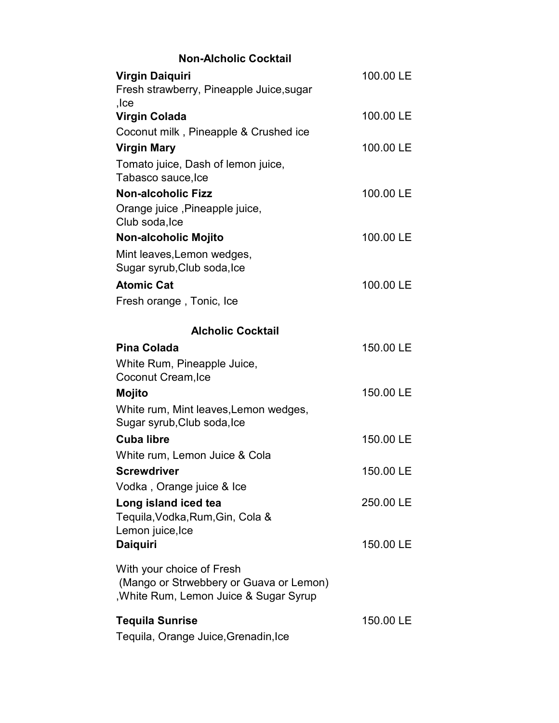| <b>Non-Alcholic Cocktail</b>                                                                                   |           |
|----------------------------------------------------------------------------------------------------------------|-----------|
| <b>Virgin Daiquiri</b>                                                                                         | 100.00 LE |
| Fresh strawberry, Pineapple Juice, sugar                                                                       |           |
| lce,                                                                                                           |           |
| <b>Virgin Colada</b>                                                                                           | 100.00 LE |
| Coconut milk, Pineapple & Crushed ice                                                                          |           |
| <b>Virgin Mary</b>                                                                                             | 100.00 LE |
| Tomato juice, Dash of lemon juice,<br>Tabasco sauce, Ice                                                       |           |
| <b>Non-alcoholic Fizz</b>                                                                                      | 100.00 LE |
| Orange juice , Pineapple juice,<br>Club soda, Ice                                                              |           |
| Non-alcoholic Mojito                                                                                           | 100.00 LE |
| Mint leaves, Lemon wedges,<br>Sugar syrub, Club soda, Ice                                                      |           |
| <b>Atomic Cat</b>                                                                                              | 100.00 LE |
| Fresh orange, Tonic, Ice                                                                                       |           |
|                                                                                                                |           |
| <b>Alcholic Cocktail</b>                                                                                       |           |
| <b>Pina Colada</b>                                                                                             | 150.00 LE |
| White Rum, Pineapple Juice,                                                                                    |           |
| Coconut Cream, Ice                                                                                             |           |
| <b>Mojito</b>                                                                                                  | 150.00 LE |
| White rum, Mint leaves, Lemon wedges,<br>Sugar syrub, Club soda, Ice                                           |           |
| <b>Cuba libre</b>                                                                                              | 150.00 LE |
| White rum, Lemon Juice & Cola                                                                                  |           |
| <b>Screwdriver</b>                                                                                             | 150.00 LE |
| Vodka, Orange juice & Ice                                                                                      |           |
| Long island iced tea                                                                                           | 250.00 LE |
| Tequila, Vodka, Rum, Gin, Cola &                                                                               |           |
| Lemon juice, Ice                                                                                               |           |
| <b>Daiguiri</b>                                                                                                | 150.00 LE |
| With your choice of Fresh<br>(Mango or Strwebbery or Guava or Lemon)<br>, White Rum, Lemon Juice & Sugar Syrup |           |
| <b>Tequila Sunrise</b><br>Tequila, Orange Juice, Grenadin, Ice                                                 | 150.00 LE |